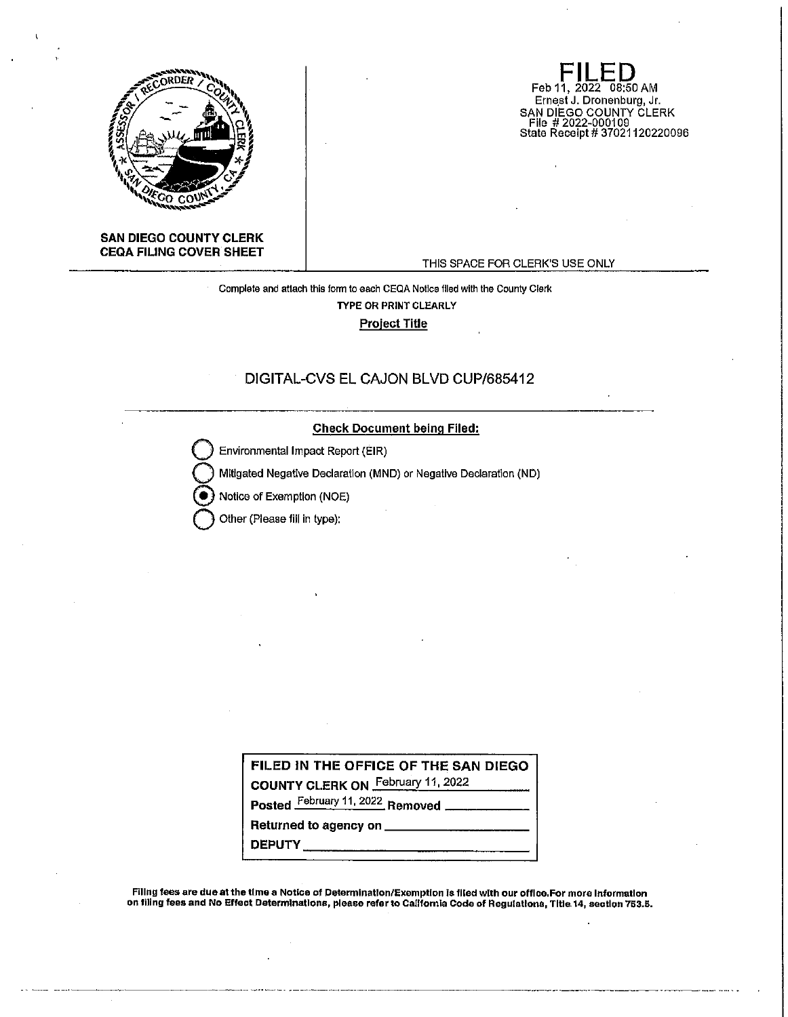

**FILED**<br>Feb 11, 2022 08:50 AM Ernest J. Dronenburg, Jr. SAN DIEGO COUNTY CLERK File # 2022-000109 State Receipt# 37021120220096

## **SAN DIEGO COUNTY CLERK CEQA FILING COVER SHEET**

#### THIS SPACE FOR CLERK'S USE ONLY

Complete and attach this form to each CEQA Notice flied with the County Clerk TYPE OR PRINT CLEARLY Project Title

## DIGITAL-CVS EL CAJON BLVD CUP/685412

#### **Check Document being Filed:**

Environmental Impact Report (EIR)

**Q** Mitigated Negative Declaration (MND) or Negative Declaration (ND)

Notice of Exemption (NOE)

**Other (Please fill in type):** 

|  |  | FILED IN THE OFFICE OF THE SAN DIEGO |                         |  |
|--|--|--------------------------------------|-------------------------|--|
|  |  |                                      | <b>F</b> -L-----44 0000 |  |

**COUNTY CLERK ON** February 11, 2022

**Posted February 11, 2022 Removed ... Returned to agency on \_\_\_\_\_\_\_\_\_\_\_\_\_\_\_\_\_\_\_\_\_\_** 

**DEPUTY \_\_\_\_\_\_\_\_\_\_\_\_ \_** 

Filing fees are due at the time a Notice of Determination/Exemption is filed with our office.For more Information on filing fees and No Effect Determinations, please refer to California Code of Regulatlons, Tltla 14, seotlon 763.5.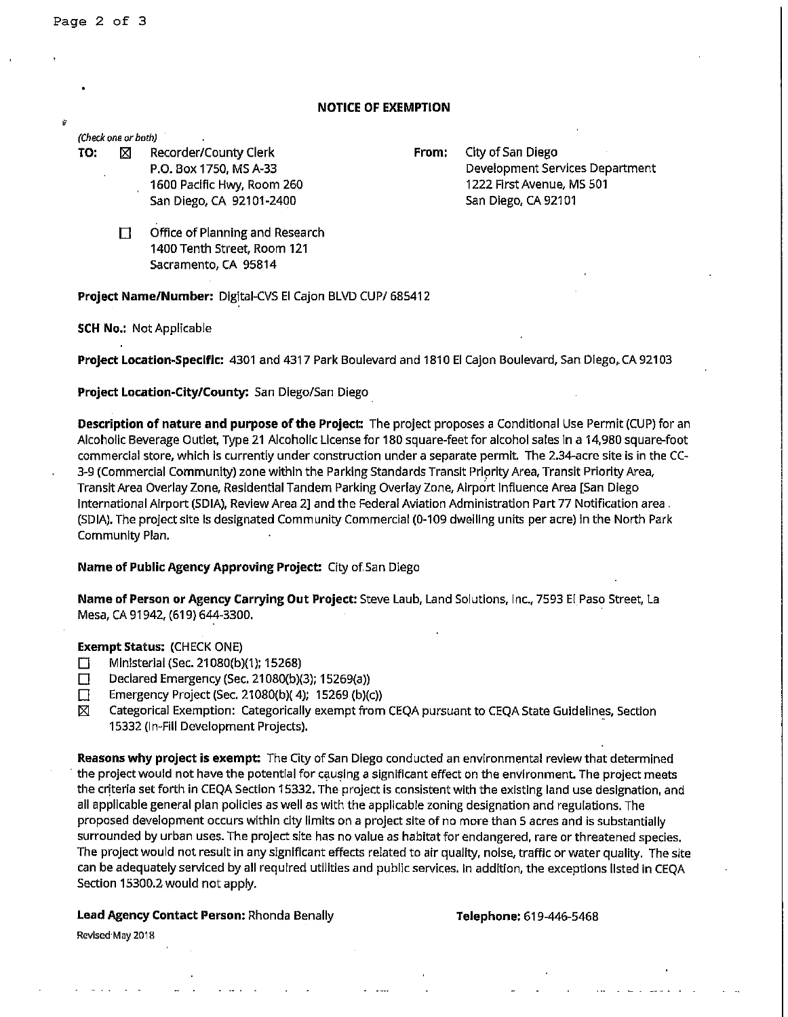## **NOTICE OF EXEMPTION**

#### **(Check one or both)**

**TO:**  $\boxtimes$  Recorder/County Clerk **From:** City of San Diego P.O. Box 1750, MS A-33

1600 Pacific Hwy, Room 260 San Diego, CA 92101-2400

Development Services Department 1222 First Avenue, MS 501 San Diego, CA 92101

Office of Planning and Research 1400 Tenth Street, Room 121 Sacramento, CA 95814

**Project Name/Number:** Digital-CVS El Cajon BLVD CUP/ 685412

**SCH No.:** Not Applicable

**Project Location-Specific:** 4301 and 4317 Park Boulevard and 1810 El Cajon Boulevard, San Diego,. CA 92103

**Project Location-City/County:** San Diego/San Diego

**Description of nature and purpose of the Project:** The project proposes a Conditional Use Permit (CUP) for an Alcoholic Beverage Outlet, Type 21 Alcoholic License for 180 square-feet for alcohol sales in a 14,980 square-foot commercial store., which is currently under construction under a separate permit. The 2.34-acre site is in the CC-3-9 (Commercial Community) zone within the Parking Standards Transit Prlprlty Area, Transit Priority Area, Transit Area Overlay Zone, Residential Tandem Parking Overlay Zone, Airport Influence Area [San Diego International Airport (SDIA), Review Area 2] and the Federal Aviation Administration Part 77 Notification area. (SDIA). The project site Is designated Community Commercial (0-109 dwelling units per acre) In the North Park Community Plan.

## **Name of Public Agency Approving Project:** City of.San Diego

**Name of Person or Agency Carrying Out Project:** Steve Laub, Land Solutions, Inc., 7593 El Paso Street, La Mesa, CA 91942, (619) 644-3300.

## **Exempt Status:** (CHECK ONE)

- D Ministerial (Sec. 21080(b)(1); 15268)
- Declared Emergency (Sec. 21080(b)(3); 15269(a))
- **Emergency Project (Sec. 21080(b)(4); 15269 (b)(c))**
- $[\boxtimes]$  Categorical Exemption: Categorically exempt from CEQA pursuant to CEQA State Guidelines, Section 15332 (In-Fill Development Projects). ·

**Reasons why project is exempt:** The City of San Diego conducted an environmental review that determined the project would not have the potential for causing a significant effect on the environment. The project meets the criteria set forth in CEQA Section 15332. The project is consistent with the existing land use designation, and all applicable general plan policies as well as with the applicable zoning designation and regulations. The proposed development occurs within city limits on a project site of no more than 5 acres and is substantially surrounded by urban uses. The project site has no value as habitat for endangered, rare or threatened species. The project would not result in any significant effects related to air quality, noise, traffic or water quality. The site can be adequately serviced by all required utilities and public services. In addition, the exceptions listed in CEQA Section 15300.2 would not apply.

## **Lead Agency Contact Person:** Rhonda Benally

#### **Telephone:** 619-446-5468

Revised May 2018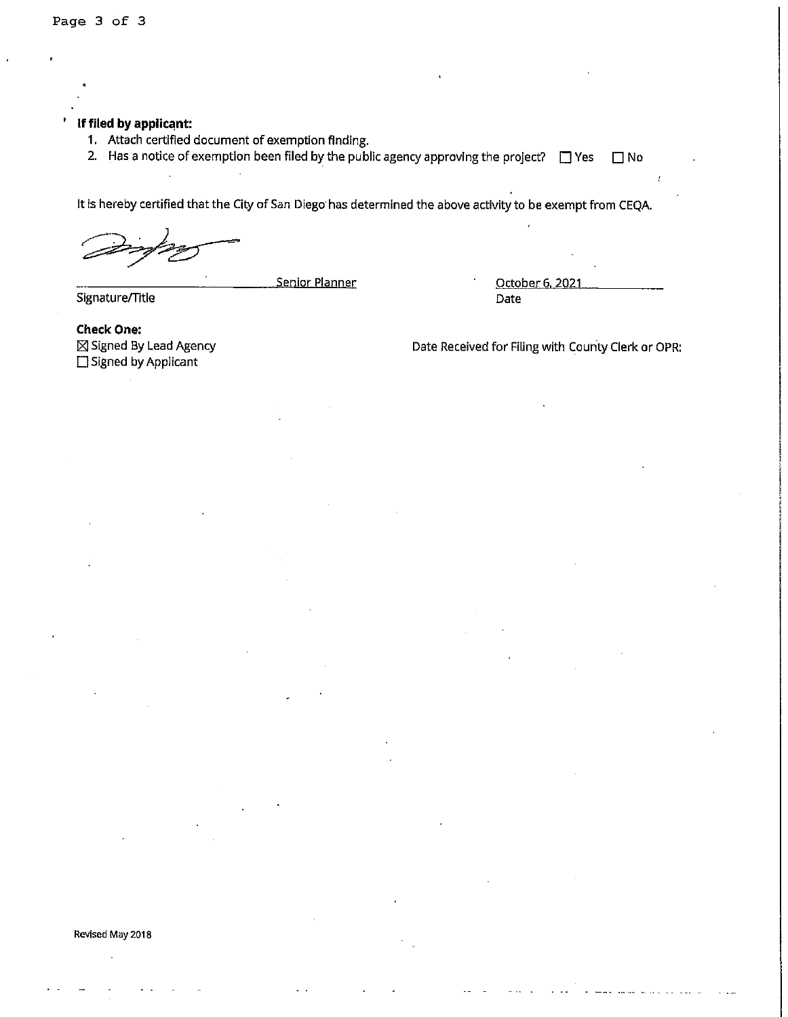# **If filed by applicant:**

- 1, Attach certified document of exemption finding.
- 2. Has a notice of exemption been filed by the public agency approving the project?  $\Box$  Yes  $\Box$  No

It is hereby certified that the City of San Diego· has determined the above activity to be exempt from CEQA.

Signature/Title

Senior Planner Corollace Corollace Corollace Corollace Corollace Corollace Corollace Corollace Corollace Corollace Corollace Corollace Corollace Corollace Corollace Corollace Corollace Corollace Corollace Corollace Corolla Date

**Check One:**  fg) Signed By Lead Agency □ Signed by Applicant

Date Received for Filing with County Clerk or OPR:

#### **Revised May 2018**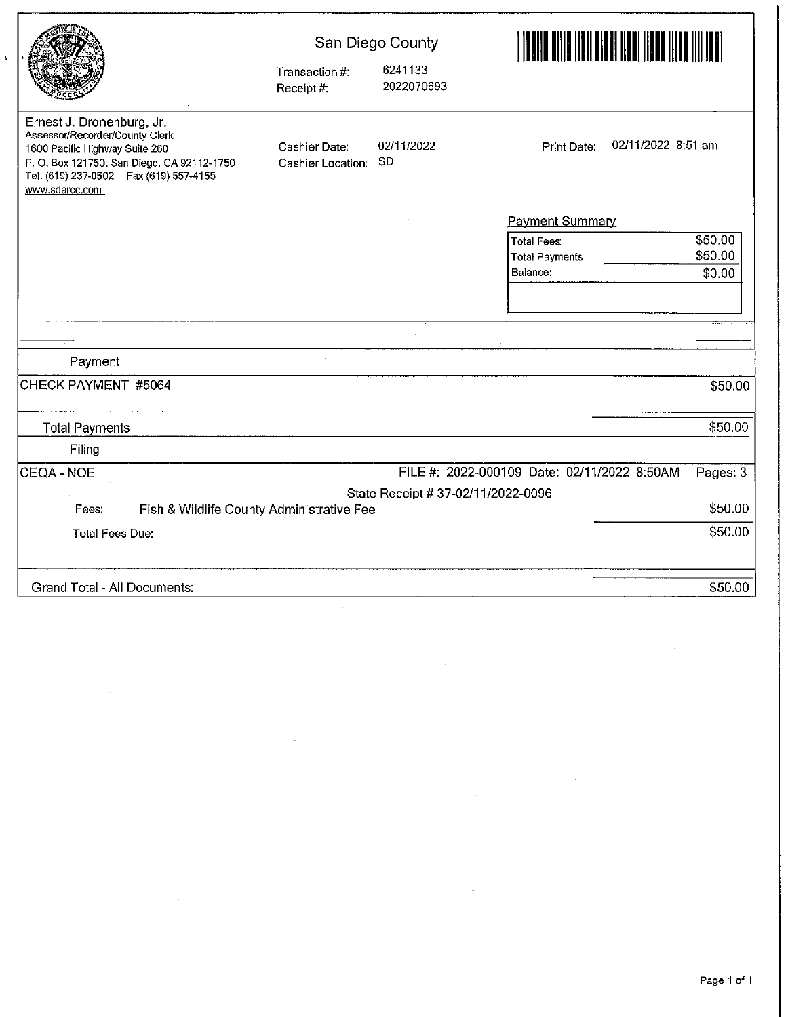|                                                                                                                                                                                                            |                                           | San Diego County                   | E EREK ETA ETA ETA EREKLERIA EREKLERIA (H. 1954).<br>ETXILIAREN EREKLERIA EREKLERIA EREKLERIA (H. 1954). |  |  |
|------------------------------------------------------------------------------------------------------------------------------------------------------------------------------------------------------------|-------------------------------------------|------------------------------------|----------------------------------------------------------------------------------------------------------|--|--|
|                                                                                                                                                                                                            | Transaction #:<br>Receipt #:              | 6241133<br>2022070693              |                                                                                                          |  |  |
| Ernest J. Dronenburg, Jr.<br>Assessor/Recorder/County Clerk<br>1600 Pacific Highway Suite 260<br>P. O. Box 121750, San Diego, CA 92112-1750<br>Tel. (619) 237-0502    Fax (619) 557-4155<br>www.sdarcc.com | Cashier Date:<br><b>Cashier Location:</b> | 02/11/2022<br>SD                   | 02/11/2022 8:51 am<br>Print Date:                                                                        |  |  |
|                                                                                                                                                                                                            |                                           |                                    | <b>Payment Summary</b>                                                                                   |  |  |
|                                                                                                                                                                                                            |                                           |                                    | \$50.00<br><b>Total Fees:</b>                                                                            |  |  |
|                                                                                                                                                                                                            |                                           |                                    | \$50.00<br><b>Total Payments:</b>                                                                        |  |  |
|                                                                                                                                                                                                            |                                           |                                    | Balance:<br>\$0.00                                                                                       |  |  |
|                                                                                                                                                                                                            |                                           |                                    |                                                                                                          |  |  |
|                                                                                                                                                                                                            |                                           |                                    |                                                                                                          |  |  |
| Payment                                                                                                                                                                                                    |                                           |                                    |                                                                                                          |  |  |
| CHECK PAYMENT #5064                                                                                                                                                                                        |                                           |                                    | \$50.00                                                                                                  |  |  |
| <b>Total Payments</b>                                                                                                                                                                                      |                                           |                                    | \$50.00                                                                                                  |  |  |
| Filing                                                                                                                                                                                                     |                                           |                                    |                                                                                                          |  |  |
| CEQA - NOE                                                                                                                                                                                                 |                                           |                                    | FILE #: 2022-000109 Date: 02/11/2022 8:50AM<br>Pages: 3                                                  |  |  |
|                                                                                                                                                                                                            |                                           | State Receipt # 37-02/11/2022-0096 |                                                                                                          |  |  |
| Fish & Wildlife County Administrative Fee<br>Fees:                                                                                                                                                         |                                           |                                    | \$50.00                                                                                                  |  |  |
| <b>Total Fees Due:</b>                                                                                                                                                                                     |                                           |                                    | \$50.00                                                                                                  |  |  |
| Grand Total - All Documents:                                                                                                                                                                               |                                           |                                    | \$50.00                                                                                                  |  |  |

 $\bar{\rm k}$